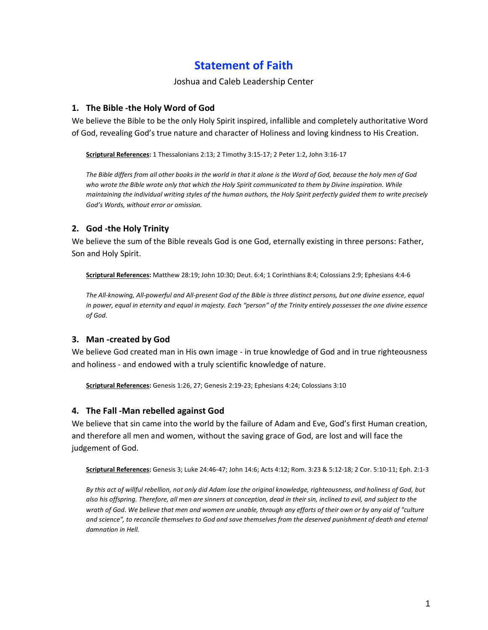# **Statement of Faith**

#### Joshua and Caleb Leadership Center

## **1. The Bible -the Holy Word of God**

We believe the Bible to be the only Holy Spirit inspired, infallible and completely authoritative Word of God, revealing God's true nature and character of Holiness and loving kindness to His Creation.

**Scriptural References:** 1 Thessalonians 2:13; 2 Timothy 3:15-17; 2 Peter 1:2, John 3:16-17

*The Bible differs from all other books in the world in that it alone is the Word of God, because the holy men of God*  who wrote the Bible wrote only that which the Holy Spirit communicated to them by Divine inspiration. While *maintaining the individual writing styles of the human authors, the Holy Spirit perfectly guided them to write precisely God's Words, without error or omission.*

# **2. God -the Holy Trinity**

We believe the sum of the Bible reveals God is one God, eternally existing in three persons: Father, Son and Holy Spirit.

**Scriptural References:** Matthew 28:19; John 10:30; Deut. 6:4; 1 Corinthians 8:4; Colossians 2:9; Ephesians 4:4-6

*The All-knowing, All-powerful and All-present God of the Bible is three distinct persons, but one divine essence, equal in power, equal in eternity and equal in majesty. Each "person" of the Trinity entirely possesses the one divine essence of God.*

## **3. Man -created by God**

We believe God created man in His own image - in true knowledge of God and in true righteousness and holiness - and endowed with a truly scientific knowledge of nature.

**Scriptural References:** Genesis 1:26, 27; Genesis 2:19-23; Ephesians 4:24; Colossians 3:10

## **4. The Fall -Man rebelled against God**

We believe that sin came into the world by the failure of Adam and Eve, God's first Human creation, and therefore all men and women, without the saving grace of God, are lost and will face the judgement of God.

**Scriptural References:** Genesis 3; Luke 24:46-47; John 14:6; Acts 4:12; Rom. 3:23 & 5:12-18; 2 Cor. 5:10-11; Eph. 2:1-3

*By this act of willful rebellion, not only did Adam lose the original knowledge, righteousness, and holiness of God, but also his offspring. Therefore, all men are sinners at conception, dead in their sin, inclined to evil, and subject to the wrath of God. We believe that men and women are unable, through any efforts of their own or by any aid of "culture*  and science", to reconcile themselves to God and save themselves from the deserved punishment of death and eternal *damnation in Hell.*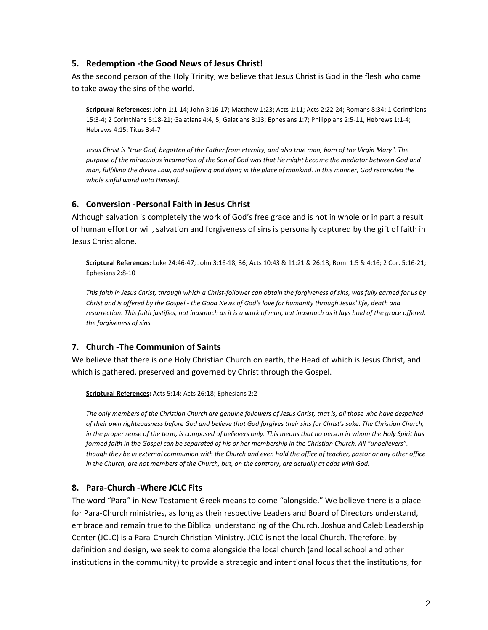#### **5. Redemption -the Good News of Jesus Christ!**

As the second person of the Holy Trinity, we believe that Jesus Christ is God in the flesh who came to take away the sins of the world.

**Scriptural References**: John 1:1-14; John 3:16-17; Matthew 1:23; Acts 1:11; Acts 2:22-24; Romans 8:34; 1 Corinthians 15:3-4; 2 Corinthians 5:18-21; Galatians 4:4, 5; Galatians 3:13; Ephesians 1:7; Philippians 2:5-11, Hebrews 1:1-4; Hebrews 4:15; Titus 3:4-7

*Jesus Christ is "true God, begotten of the Father from eternity, and also true man, born of the Virgin Mary". The purpose of the miraculous incarnation of the Son of God was that He might become the mediator between God and man, fulfilling the divine Law, and suffering and dying in the place of mankind. In this manner, God reconciled the whole sinful world unto Himself.*

#### **6. Conversion -Personal Faith in Jesus Christ**

Although salvation is completely the work of God's free grace and is not in whole or in part a result of human effort or will, salvation and forgiveness of sins is personally captured by the gift of faith in Jesus Christ alone.

**Scriptural References:** Luke 24:46-47; John 3:16-18, 36; Acts 10:43 & 11:21 & 26:18; Rom. 1:5 & 4:16; 2 Cor. 5:16-21; Ephesians 2:8-10

*This faith in Jesus Christ, through which a Christ-follower can obtain the forgiveness of sins, was fully earned for us by Christ and is offered by the Gospel - the Good News of God's love for humanity through Jesus' life, death and resurrection. This faith justifies, not inasmuch as it is a work of man, but inasmuch as it lays hold of the grace offered, the forgiveness of sins.*

## **7. Church -The Communion of Saints**

We believe that there is one Holy Christian Church on earth, the Head of which is Jesus Christ, and which is gathered, preserved and governed by Christ through the Gospel.

**Scriptural References:** Acts 5:14; Acts 26:18; Ephesians 2:2

*The only members of the Christian Church are genuine followers of Jesus Christ, that is, all those who have despaired of their own righteousness before God and believe that God forgives their sins for Christ's sake. The Christian Church, in the proper sense of the term, is composed of believers only. This means that no person in whom the Holy Spirit has formed faith in the Gospel can be separated of his or her membership in the Christian Church. All "unbelievers", though they be in external communion with the Church and even hold the office of teacher, pastor or any other office in the Church, are not members of the Church, but, on the contrary, are actually at odds with God.*

## **8. Para-Church -Where JCLC Fits**

The word "Para" in New Testament Greek means to come "alongside." We believe there is a place for Para-Church ministries, as long as their respective Leaders and Board of Directors understand, embrace and remain true to the Biblical understanding of the Church. Joshua and Caleb Leadership Center (JCLC) is a Para-Church Christian Ministry. JCLC is not the local Church. Therefore, by definition and design, we seek to come alongside the local church (and local school and other institutions in the community) to provide a strategic and intentional focus that the institutions, for